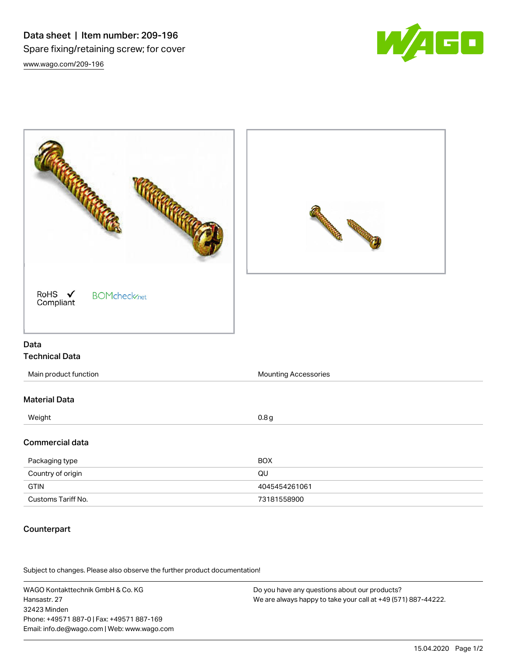Data sheet | Item number: 209-196 Spare fixing/retaining screw; for cover [www.wago.com/209-196](http://www.wago.com/209-196)



|                                                                  | <b>Contractions</b><br><b>CARL COMMENT</b> |
|------------------------------------------------------------------|--------------------------------------------|
| RoHS $\checkmark$<br><b>BOMcheck</b> <sub>net</sub><br>Compliant |                                            |
| Data                                                             |                                            |
| <b>Technical Data</b>                                            |                                            |
| Main product function                                            | Mounting Accessories                       |
| <b>Material Data</b>                                             |                                            |
| Weight                                                           | 0.8 <sub>g</sub>                           |
| Commercial data                                                  |                                            |
| Packaging type                                                   | <b>BOX</b>                                 |
| Country of origin                                                | QU                                         |
| <b>GTIN</b>                                                      | 4045454261061                              |
| Customs Tariff No.                                               | 73181558900                                |

### Counterpart

.<br>Subject to changes. Please also observe the further product documentation!

WAGO Kontakttechnik GmbH & Co. KG Hansastr. 27 32423 Minden Phone: +49571 887-0 | Fax: +49571 887-169 Email: info.de@wago.com | Web: www.wago.com

Do you have any questions about our products? We are always happy to take your call at +49 (571) 887-44222.